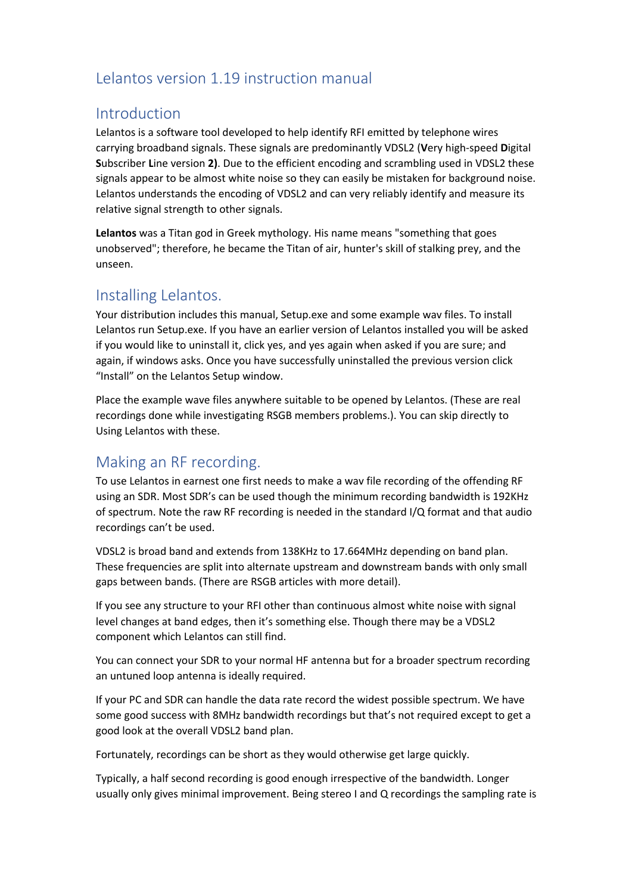# Lelantos version 1.19 instruction manual

### Introduction

Lelantos is a software tool developed to help identify RFI emitted by telephone wires carrying broadband signals. These signals are predominantly VDSL2 (**V**ery high-speed **D**igital **S**ubscriber **L**ine version **2)**. Due to the efficient encoding and scrambling used in VDSL2 these signals appear to be almost white noise so they can easily be mistaken for background noise. Lelantos understands the encoding of VDSL2 and can very reliably identify and measure its relative signal strength to other signals.

**Lelantos** was a Titan god in Greek mythology. His name means "something that goes unobserved"; therefore, he became the Titan of air, hunter's skill of stalking prey, and the unseen.

### Installing Lelantos.

Your distribution includes this manual, Setup.exe and some example wav files. To install Lelantos run Setup.exe. If you have an earlier version of Lelantos installed you will be asked if you would like to uninstall it, click yes, and yes again when asked if you are sure; and again, if windows asks. Once you have successfully uninstalled the previous version click "Install" on the Lelantos Setup window.

Place the example wave files anywhere suitable to be opened by Lelantos. (These are real recordings done while investigating RSGB members problems.). You can skip directly to Using Lelantos with these.

## Making an RF recording.

To use Lelantos in earnest one first needs to make a wav file recording of the offending RF using an SDR. Most SDR's can be used though the minimum recording bandwidth is 192KHz of spectrum. Note the raw RF recording is needed in the standard I/Q format and that audio recordings can't be used.

VDSL2 is broad band and extends from 138KHz to 17.664MHz depending on band plan. These frequencies are split into alternate upstream and downstream bands with only small gaps between bands. (There are RSGB articles with more detail).

If you see any structure to your RFI other than continuous almost white noise with signal level changes at band edges, then it's something else. Though there may be a VDSL2 component which Lelantos can still find.

You can connect your SDR to your normal HF antenna but for a broader spectrum recording an untuned loop antenna is ideally required.

If your PC and SDR can handle the data rate record the widest possible spectrum. We have some good success with 8MHz bandwidth recordings but that's not required except to get a good look at the overall VDSL2 band plan.

Fortunately, recordings can be short as they would otherwise get large quickly.

Typically, a half second recording is good enough irrespective of the bandwidth. Longer usually only gives minimal improvement. Being stereo I and Q recordings the sampling rate is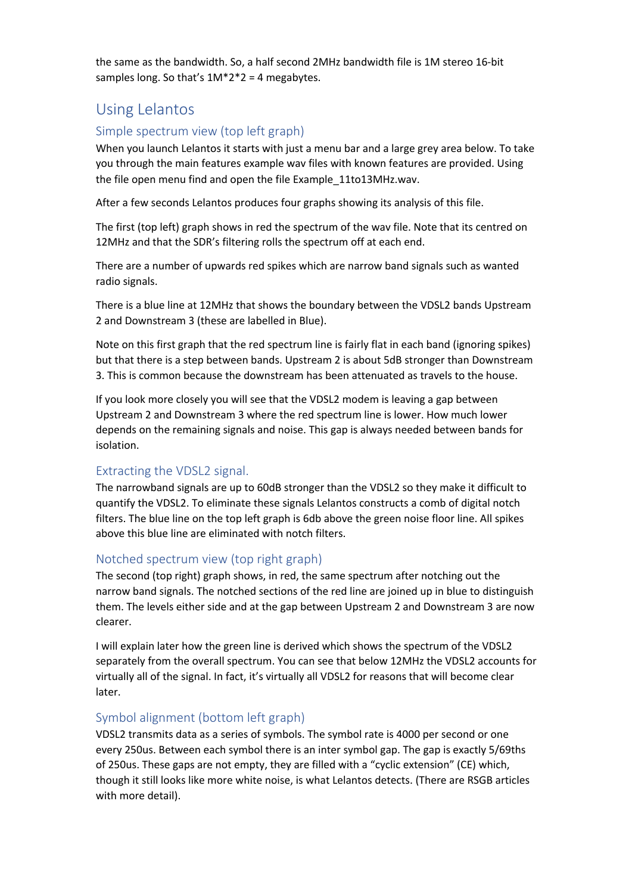the same as the bandwidth. So, a half second 2MHz bandwidth file is 1M stereo 16-bit samples long. So that's  $1M^*2^*2 = 4$  megabytes.

## Using Lelantos

### Simple spectrum view (top left graph)

When you launch Lelantos it starts with just a menu bar and a large grey area below. To take you through the main features example wav files with known features are provided. Using the file open menu find and open the file Example\_11to13MHz.wav.

After a few seconds Lelantos produces four graphs showing its analysis of this file.

The first (top left) graph shows in red the spectrum of the wav file. Note that its centred on 12MHz and that the SDR's filtering rolls the spectrum off at each end.

There are a number of upwards red spikes which are narrow band signals such as wanted radio signals.

There is a blue line at 12MHz that shows the boundary between the VDSL2 bands Upstream 2 and Downstream 3 (these are labelled in Blue).

Note on this first graph that the red spectrum line is fairly flat in each band (ignoring spikes) but that there is a step between bands. Upstream 2 is about 5dB stronger than Downstream 3. This is common because the downstream has been attenuated as travels to the house.

If you look more closely you will see that the VDSL2 modem is leaving a gap between Upstream 2 and Downstream 3 where the red spectrum line is lower. How much lower depends on the remaining signals and noise. This gap is always needed between bands for isolation.

#### Extracting the VDSL2 signal.

The narrowband signals are up to 60dB stronger than the VDSL2 so they make it difficult to quantify the VDSL2. To eliminate these signals Lelantos constructs a comb of digital notch filters. The blue line on the top left graph is 6db above the green noise floor line. All spikes above this blue line are eliminated with notch filters.

#### Notched spectrum view (top right graph)

The second (top right) graph shows, in red, the same spectrum after notching out the narrow band signals. The notched sections of the red line are joined up in blue to distinguish them. The levels either side and at the gap between Upstream 2 and Downstream 3 are now clearer.

I will explain later how the green line is derived which shows the spectrum of the VDSL2 separately from the overall spectrum. You can see that below 12MHz the VDSL2 accounts for virtually all of the signal. In fact, it's virtually all VDSL2 for reasons that will become clear later.

#### Symbol alignment (bottom left graph)

VDSL2 transmits data as a series of symbols. The symbol rate is 4000 per second or one every 250us. Between each symbol there is an inter symbol gap. The gap is exactly 5/69ths of 250us. These gaps are not empty, they are filled with a "cyclic extension" (CE) which, though it still looks like more white noise, is what Lelantos detects. (There are RSGB articles with more detail).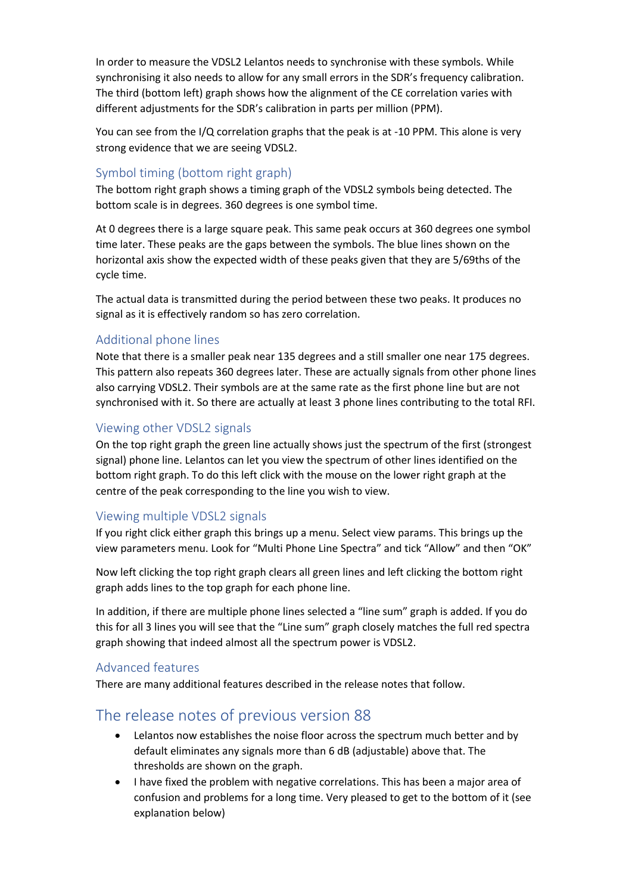In order to measure the VDSL2 Lelantos needs to synchronise with these symbols. While synchronising it also needs to allow for any small errors in the SDR's frequency calibration. The third (bottom left) graph shows how the alignment of the CE correlation varies with different adjustments for the SDR's calibration in parts per million (PPM).

You can see from the I/Q correlation graphs that the peak is at -10 PPM. This alone is very strong evidence that we are seeing VDSL2.

### Symbol timing (bottom right graph)

The bottom right graph shows a timing graph of the VDSL2 symbols being detected. The bottom scale is in degrees. 360 degrees is one symbol time.

At 0 degrees there is a large square peak. This same peak occurs at 360 degrees one symbol time later. These peaks are the gaps between the symbols. The blue lines shown on the horizontal axis show the expected width of these peaks given that they are 5/69ths of the cycle time.

The actual data is transmitted during the period between these two peaks. It produces no signal as it is effectively random so has zero correlation.

#### Additional phone lines

Note that there is a smaller peak near 135 degrees and a still smaller one near 175 degrees. This pattern also repeats 360 degrees later. These are actually signals from other phone lines also carrying VDSL2. Their symbols are at the same rate as the first phone line but are not synchronised with it. So there are actually at least 3 phone lines contributing to the total RFI.

### Viewing other VDSL2 signals

On the top right graph the green line actually shows just the spectrum of the first (strongest signal) phone line. Lelantos can let you view the spectrum of other lines identified on the bottom right graph. To do this left click with the mouse on the lower right graph at the centre of the peak corresponding to the line you wish to view.

#### Viewing multiple VDSL2 signals

If you right click either graph this brings up a menu. Select view params. This brings up the view parameters menu. Look for "Multi Phone Line Spectra" and tick "Allow" and then "OK"

Now left clicking the top right graph clears all green lines and left clicking the bottom right graph adds lines to the top graph for each phone line.

In addition, if there are multiple phone lines selected a "line sum" graph is added. If you do this for all 3 lines you will see that the "Line sum" graph closely matches the full red spectra graph showing that indeed almost all the spectrum power is VDSL2.

#### Advanced features

There are many additional features described in the release notes that follow.

## The release notes of previous version 88

- Lelantos now establishes the noise floor across the spectrum much better and by default eliminates any signals more than 6 dB (adjustable) above that. The thresholds are shown on the graph.
- I have fixed the problem with negative correlations. This has been a major area of confusion and problems for a long time. Very pleased to get to the bottom of it (see explanation below)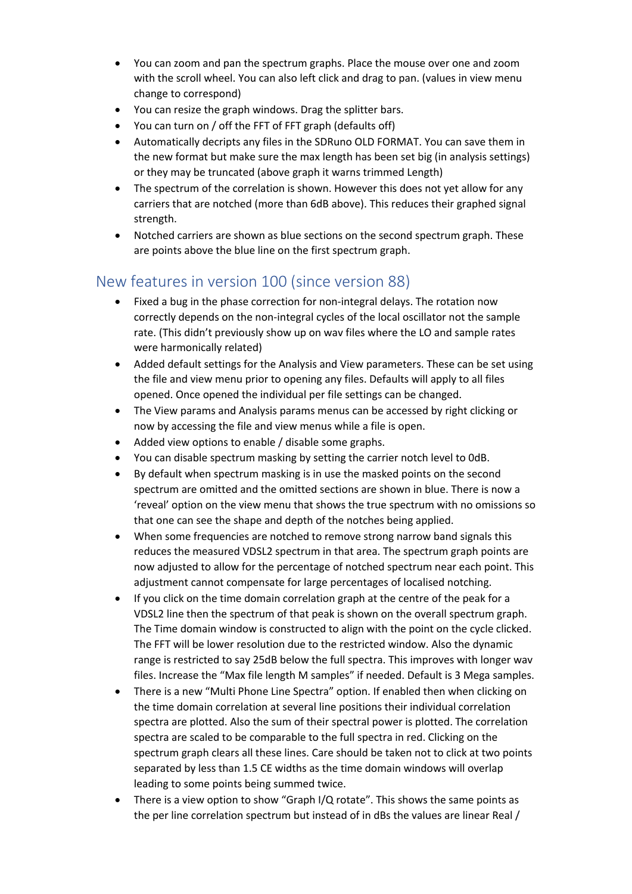- You can zoom and pan the spectrum graphs. Place the mouse over one and zoom with the scroll wheel. You can also left click and drag to pan. (values in view menu change to correspond)
- You can resize the graph windows. Drag the splitter bars.
- You can turn on / off the FFT of FFT graph (defaults off)
- Automatically decripts any files in the SDRuno OLD FORMAT. You can save them in the new format but make sure the max length has been set big (in analysis settings) or they may be truncated (above graph it warns trimmed Length)
- The spectrum of the correlation is shown. However this does not yet allow for any carriers that are notched (more than 6dB above). This reduces their graphed signal strength.
- Notched carriers are shown as blue sections on the second spectrum graph. These are points above the blue line on the first spectrum graph.

## New features in version 100 (since version 88)

- Fixed a bug in the phase correction for non-integral delays. The rotation now correctly depends on the non-integral cycles of the local oscillator not the sample rate. (This didn't previously show up on wav files where the LO and sample rates were harmonically related)
- Added default settings for the Analysis and View parameters. These can be set using the file and view menu prior to opening any files. Defaults will apply to all files opened. Once opened the individual per file settings can be changed.
- The View params and Analysis params menus can be accessed by right clicking or now by accessing the file and view menus while a file is open.
- Added view options to enable / disable some graphs.
- You can disable spectrum masking by setting the carrier notch level to 0dB.
- By default when spectrum masking is in use the masked points on the second spectrum are omitted and the omitted sections are shown in blue. There is now a 'reveal' option on the view menu that shows the true spectrum with no omissions so that one can see the shape and depth of the notches being applied.
- When some frequencies are notched to remove strong narrow band signals this reduces the measured VDSL2 spectrum in that area. The spectrum graph points are now adjusted to allow for the percentage of notched spectrum near each point. This adjustment cannot compensate for large percentages of localised notching.
- If you click on the time domain correlation graph at the centre of the peak for a VDSL2 line then the spectrum of that peak is shown on the overall spectrum graph. The Time domain window is constructed to align with the point on the cycle clicked. The FFT will be lower resolution due to the restricted window. Also the dynamic range is restricted to say 25dB below the full spectra. This improves with longer wav files. Increase the "Max file length M samples" if needed. Default is 3 Mega samples.
- There is a new "Multi Phone Line Spectra" option. If enabled then when clicking on the time domain correlation at several line positions their individual correlation spectra are plotted. Also the sum of their spectral power is plotted. The correlation spectra are scaled to be comparable to the full spectra in red. Clicking on the spectrum graph clears all these lines. Care should be taken not to click at two points separated by less than 1.5 CE widths as the time domain windows will overlap leading to some points being summed twice.
- There is a view option to show "Graph I/Q rotate". This shows the same points as the per line correlation spectrum but instead of in dBs the values are linear Real /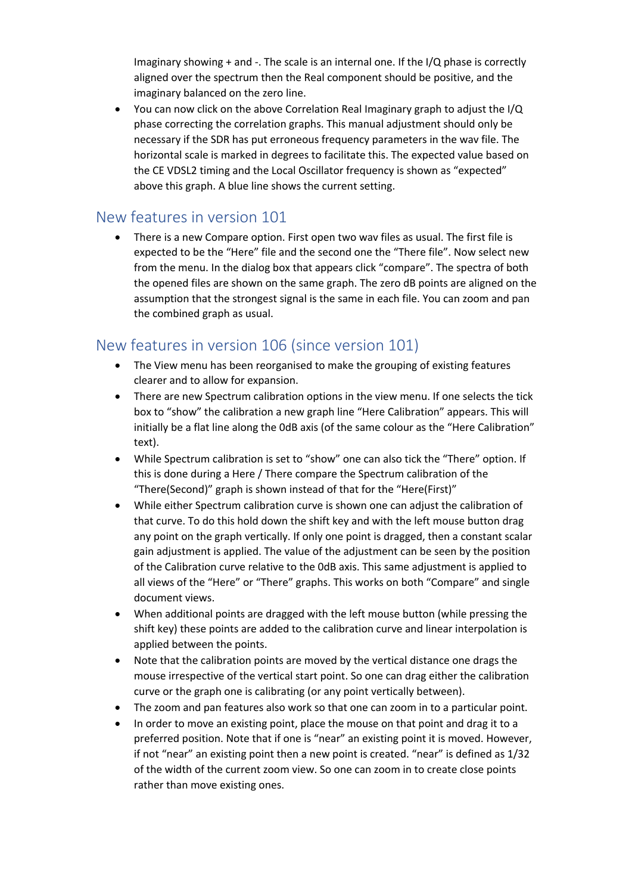Imaginary showing + and -. The scale is an internal one. If the I/Q phase is correctly aligned over the spectrum then the Real component should be positive, and the imaginary balanced on the zero line.

• You can now click on the above Correlation Real Imaginary graph to adjust the I/Q phase correcting the correlation graphs. This manual adjustment should only be necessary if the SDR has put erroneous frequency parameters in the wav file. The horizontal scale is marked in degrees to facilitate this. The expected value based on the CE VDSL2 timing and the Local Oscillator frequency is shown as "expected" above this graph. A blue line shows the current setting.

### New features in version 101

• There is a new Compare option. First open two wav files as usual. The first file is expected to be the "Here" file and the second one the "There file". Now select new from the menu. In the dialog box that appears click "compare". The spectra of both the opened files are shown on the same graph. The zero dB points are aligned on the assumption that the strongest signal is the same in each file. You can zoom and pan the combined graph as usual.

## New features in version 106 (since version 101)

- The View menu has been reorganised to make the grouping of existing features clearer and to allow for expansion.
- There are new Spectrum calibration options in the view menu. If one selects the tick box to "show" the calibration a new graph line "Here Calibration" appears. This will initially be a flat line along the 0dB axis (of the same colour as the "Here Calibration" text).
- While Spectrum calibration is set to "show" one can also tick the "There" option. If this is done during a Here / There compare the Spectrum calibration of the "There(Second)" graph is shown instead of that for the "Here(First)"
- While either Spectrum calibration curve is shown one can adjust the calibration of that curve. To do this hold down the shift key and with the left mouse button drag any point on the graph vertically. If only one point is dragged, then a constant scalar gain adjustment is applied. The value of the adjustment can be seen by the position of the Calibration curve relative to the 0dB axis. This same adjustment is applied to all views of the "Here" or "There" graphs. This works on both "Compare" and single document views.
- When additional points are dragged with the left mouse button (while pressing the shift key) these points are added to the calibration curve and linear interpolation is applied between the points.
- Note that the calibration points are moved by the vertical distance one drags the mouse irrespective of the vertical start point. So one can drag either the calibration curve or the graph one is calibrating (or any point vertically between).
- The zoom and pan features also work so that one can zoom in to a particular point.
- In order to move an existing point, place the mouse on that point and drag it to a preferred position. Note that if one is "near" an existing point it is moved. However, if not "near" an existing point then a new point is created. "near" is defined as 1/32 of the width of the current zoom view. So one can zoom in to create close points rather than move existing ones.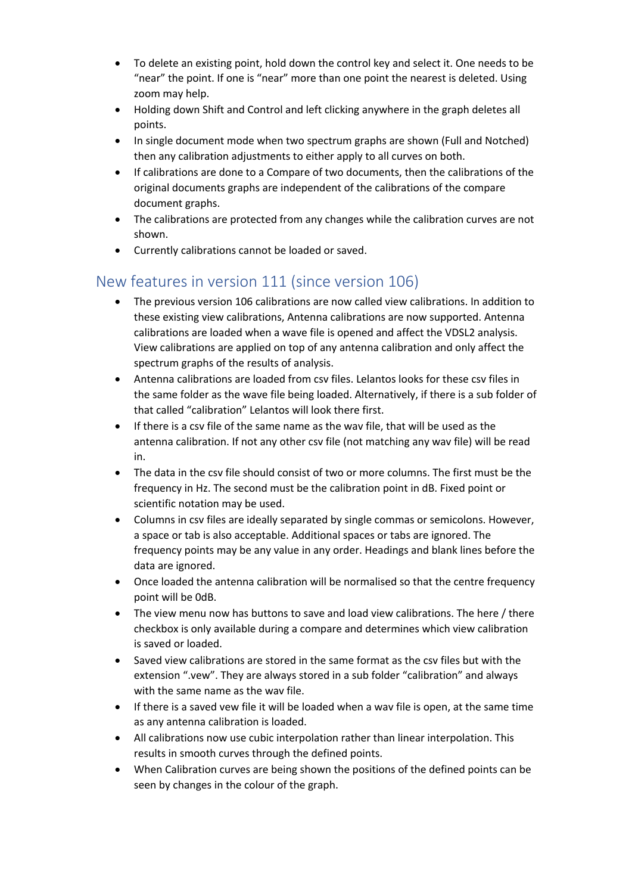- To delete an existing point, hold down the control key and select it. One needs to be "near" the point. If one is "near" more than one point the nearest is deleted. Using zoom may help.
- Holding down Shift and Control and left clicking anywhere in the graph deletes all points.
- In single document mode when two spectrum graphs are shown (Full and Notched) then any calibration adjustments to either apply to all curves on both.
- If calibrations are done to a Compare of two documents, then the calibrations of the original documents graphs are independent of the calibrations of the compare document graphs.
- The calibrations are protected from any changes while the calibration curves are not shown.
- Currently calibrations cannot be loaded or saved.

# New features in version 111 (since version 106)

- The previous version 106 calibrations are now called view calibrations. In addition to these existing view calibrations, Antenna calibrations are now supported. Antenna calibrations are loaded when a wave file is opened and affect the VDSL2 analysis. View calibrations are applied on top of any antenna calibration and only affect the spectrum graphs of the results of analysis.
- Antenna calibrations are loaded from csv files. Lelantos looks for these csv files in the same folder as the wave file being loaded. Alternatively, if there is a sub folder of that called "calibration" Lelantos will look there first.
- If there is a csv file of the same name as the wav file, that will be used as the antenna calibration. If not any other csv file (not matching any wav file) will be read in.
- The data in the csv file should consist of two or more columns. The first must be the frequency in Hz. The second must be the calibration point in dB. Fixed point or scientific notation may be used.
- Columns in csv files are ideally separated by single commas or semicolons. However, a space or tab is also acceptable. Additional spaces or tabs are ignored. The frequency points may be any value in any order. Headings and blank lines before the data are ignored.
- Once loaded the antenna calibration will be normalised so that the centre frequency point will be 0dB.
- The view menu now has buttons to save and load view calibrations. The here / there checkbox is only available during a compare and determines which view calibration is saved or loaded.
- Saved view calibrations are stored in the same format as the csv files but with the extension ".vew". They are always stored in a sub folder "calibration" and always with the same name as the wav file.
- If there is a saved vew file it will be loaded when a wav file is open, at the same time as any antenna calibration is loaded.
- All calibrations now use cubic interpolation rather than linear interpolation. This results in smooth curves through the defined points.
- When Calibration curves are being shown the positions of the defined points can be seen by changes in the colour of the graph.